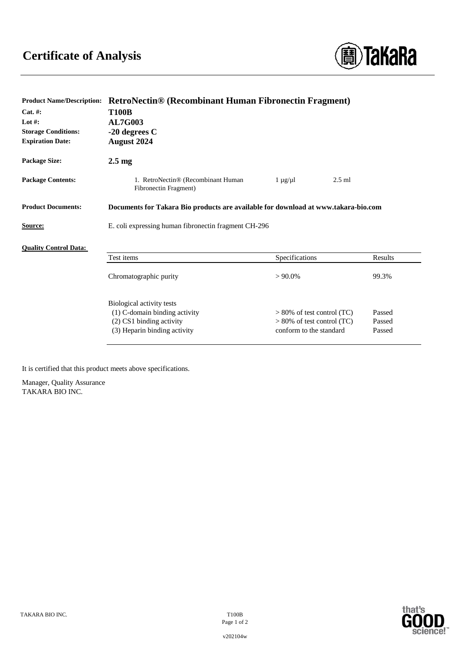

| <b>Product Name/Description:</b> | <b>RetroNectin® (Recombinant Human Fibronectin Fragment)</b>                       |                               |         |
|----------------------------------|------------------------------------------------------------------------------------|-------------------------------|---------|
| Cat. #:                          | <b>T100B</b>                                                                       |                               |         |
| Lot $#$ :                        | <b>AL7G003</b>                                                                     |                               |         |
| <b>Storage Conditions:</b>       | $-20$ degrees C                                                                    |                               |         |
| <b>Expiration Date:</b>          | <b>August 2024</b>                                                                 |                               |         |
| Package Size:                    | $2.5 \text{ mg}$                                                                   |                               |         |
| <b>Package Contents:</b>         | 1. RetroNectin® (Recombinant Human<br>Fibronectin Fragment)                        | $2.5$ ml<br>$1 \mu g / \mu l$ |         |
| <b>Product Documents:</b>        | Documents for Takara Bio products are available for download at www.takara-bio.com |                               |         |
| <b>Source:</b>                   | E. coli expressing human fibronectin fragment CH-296                               |                               |         |
| <b>Ouality Control Data:</b>     |                                                                                    |                               |         |
|                                  | Test items                                                                         | Specifications                | Results |
|                                  | Chromatographic purity                                                             | $> 90.0\%$                    | 99.3%   |
|                                  | Biological activity tests                                                          |                               |         |
|                                  | (1) C-domain binding activity                                                      | $> 80\%$ of test control (TC) | Passed  |
|                                  | $(2)$ CS1 binding activity                                                         | $> 80\%$ of test control (TC) | Passed  |
|                                  | (3) Heparin binding activity                                                       | conform to the standard       | Passed  |
|                                  |                                                                                    |                               |         |

It is certified that this product meets above specifications.

Manager, Quality Assurance TAKARA BIO INC.



Page 1 of 2